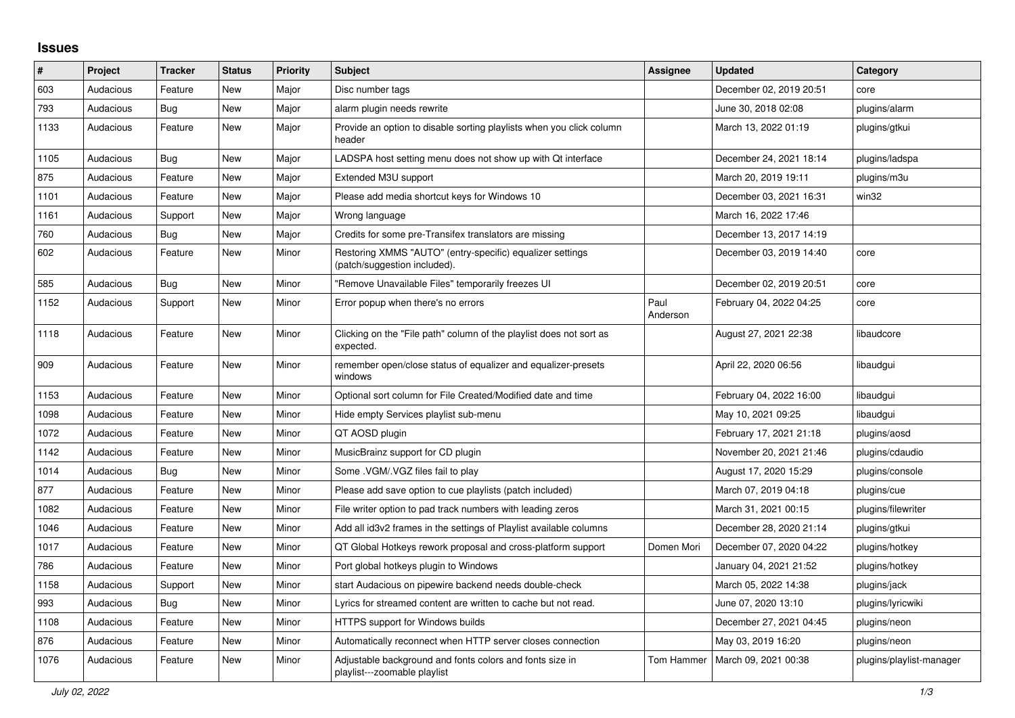## **Issues**

| ∦    | Project   | <b>Tracker</b> | <b>Status</b> | <b>Priority</b> | <b>Subject</b>                                                                            | <b>Assignee</b>  | <b>Updated</b>          | Category                 |
|------|-----------|----------------|---------------|-----------------|-------------------------------------------------------------------------------------------|------------------|-------------------------|--------------------------|
| 603  | Audacious | Feature        | <b>New</b>    | Major           | Disc number tags                                                                          |                  | December 02, 2019 20:51 | core                     |
| 793  | Audacious | <b>Bug</b>     | <b>New</b>    | Major           | alarm plugin needs rewrite                                                                |                  | June 30, 2018 02:08     | plugins/alarm            |
| 1133 | Audacious | Feature        | New           | Major           | Provide an option to disable sorting playlists when you click column<br>header            |                  | March 13, 2022 01:19    | plugins/gtkui            |
| 1105 | Audacious | Bug            | New           | Major           | LADSPA host setting menu does not show up with Qt interface                               |                  | December 24, 2021 18:14 | plugins/ladspa           |
| 875  | Audacious | Feature        | <b>New</b>    | Major           | Extended M3U support                                                                      |                  | March 20, 2019 19:11    | plugins/m3u              |
| 1101 | Audacious | Feature        | <b>New</b>    | Major           | Please add media shortcut keys for Windows 10                                             |                  | December 03, 2021 16:31 | win32                    |
| 1161 | Audacious | Support        | <b>New</b>    | Major           | Wrong language                                                                            |                  | March 16, 2022 17:46    |                          |
| 760  | Audacious | Bug            | <b>New</b>    | Major           | Credits for some pre-Transifex translators are missing                                    |                  | December 13, 2017 14:19 |                          |
| 602  | Audacious | Feature        | New           | Minor           | Restoring XMMS "AUTO" (entry-specific) equalizer settings<br>(patch/suggestion included). |                  | December 03, 2019 14:40 | core                     |
| 585  | Audacious | <b>Bug</b>     | <b>New</b>    | Minor           | "Remove Unavailable Files" temporarily freezes UI                                         |                  | December 02, 2019 20:51 | core                     |
| 1152 | Audacious | Support        | New           | Minor           | Error popup when there's no errors                                                        | Paul<br>Anderson | February 04, 2022 04:25 | core                     |
| 1118 | Audacious | Feature        | <b>New</b>    | Minor           | Clicking on the "File path" column of the playlist does not sort as<br>expected.          |                  | August 27, 2021 22:38   | libaudcore               |
| 909  | Audacious | Feature        | <b>New</b>    | Minor           | remember open/close status of equalizer and equalizer-presets<br>windows                  |                  | April 22, 2020 06:56    | libaudgui                |
| 1153 | Audacious | Feature        | New           | Minor           | Optional sort column for File Created/Modified date and time                              |                  | February 04, 2022 16:00 | libaudgui                |
| 1098 | Audacious | Feature        | <b>New</b>    | Minor           | Hide empty Services playlist sub-menu                                                     |                  | May 10, 2021 09:25      | libaudgui                |
| 1072 | Audacious | Feature        | <b>New</b>    | Minor           | QT AOSD plugin                                                                            |                  | February 17, 2021 21:18 | plugins/aosd             |
| 1142 | Audacious | Feature        | New           | Minor           | MusicBrainz support for CD plugin                                                         |                  | November 20, 2021 21:46 | plugins/cdaudio          |
| 1014 | Audacious | <b>Bug</b>     | <b>New</b>    | Minor           | Some .VGM/.VGZ files fail to play                                                         |                  | August 17, 2020 15:29   | plugins/console          |
| 877  | Audacious | Feature        | New           | Minor           | Please add save option to cue playlists (patch included)                                  |                  | March 07, 2019 04:18    | plugins/cue              |
| 1082 | Audacious | Feature        | New           | Minor           | File writer option to pad track numbers with leading zeros                                |                  | March 31, 2021 00:15    | plugins/filewriter       |
| 1046 | Audacious | Feature        | <b>New</b>    | Minor           | Add all id3v2 frames in the settings of Playlist available columns                        |                  | December 28, 2020 21:14 | plugins/gtkui            |
| 1017 | Audacious | Feature        | <b>New</b>    | Minor           | QT Global Hotkeys rework proposal and cross-platform support                              | Domen Mori       | December 07, 2020 04:22 | plugins/hotkey           |
| 786  | Audacious | Feature        | <b>New</b>    | Minor           | Port global hotkeys plugin to Windows                                                     |                  | January 04, 2021 21:52  | plugins/hotkey           |
| 1158 | Audacious | Support        | New           | Minor           | start Audacious on pipewire backend needs double-check                                    |                  | March 05, 2022 14:38    | plugins/jack             |
| 993  | Audacious | Bug            | <b>New</b>    | Minor           | Lyrics for streamed content are written to cache but not read.                            |                  | June 07, 2020 13:10     | plugins/lyricwiki        |
| 1108 | Audacious | Feature        | <b>New</b>    | Minor           | HTTPS support for Windows builds                                                          |                  | December 27, 2021 04:45 | plugins/neon             |
| 876  | Audacious | Feature        | New           | Minor           | Automatically reconnect when HTTP server closes connection                                |                  | May 03, 2019 16:20      | plugins/neon             |
| 1076 | Audacious | Feature        | <b>New</b>    | Minor           | Adjustable background and fonts colors and fonts size in<br>playlist---zoomable playlist  | Tom Hammer       | March 09, 2021 00:38    | plugins/playlist-manager |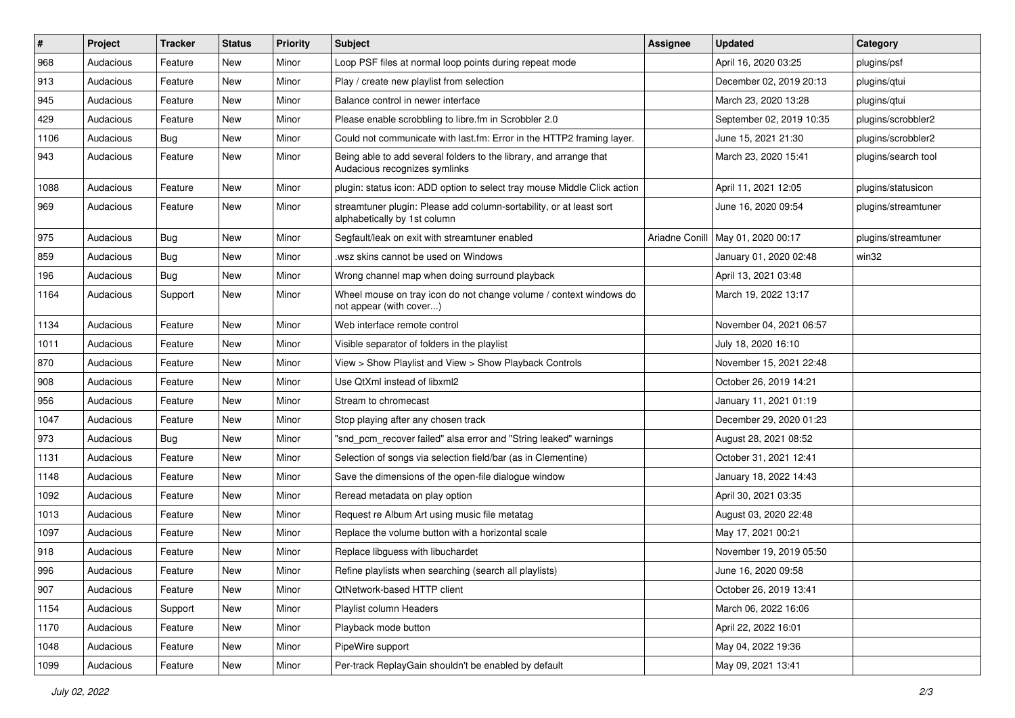| $\vert$ # | Project   | <b>Tracker</b> | <b>Status</b> | <b>Priority</b> | <b>Subject</b>                                                                                      | Assignee | <b>Updated</b>                      | Category            |
|-----------|-----------|----------------|---------------|-----------------|-----------------------------------------------------------------------------------------------------|----------|-------------------------------------|---------------------|
| 968       | Audacious | Feature        | <b>New</b>    | Minor           | Loop PSF files at normal loop points during repeat mode                                             |          | April 16, 2020 03:25                | plugins/psf         |
| 913       | Audacious | Feature        | <b>New</b>    | Minor           | Play / create new playlist from selection                                                           |          | December 02, 2019 20:13             | plugins/qtui        |
| 945       | Audacious | Feature        | <b>New</b>    | Minor           | Balance control in newer interface                                                                  |          | March 23, 2020 13:28                | plugins/qtui        |
| 429       | Audacious | Feature        | New           | Minor           | Please enable scrobbling to libre.fm in Scrobbler 2.0                                               |          | September 02, 2019 10:35            | plugins/scrobbler2  |
| 1106      | Audacious | <b>Bug</b>     | <b>New</b>    | Minor           | Could not communicate with last.fm: Error in the HTTP2 framing layer.                               |          | June 15, 2021 21:30                 | plugins/scrobbler2  |
| 943       | Audacious | Feature        | <b>New</b>    | Minor           | Being able to add several folders to the library, and arrange that<br>Audacious recognizes symlinks |          | March 23, 2020 15:41                | plugins/search tool |
| 1088      | Audacious | Feature        | New           | Minor           | plugin: status icon: ADD option to select tray mouse Middle Click action                            |          | April 11, 2021 12:05                | plugins/statusicon  |
| 969       | Audacious | Feature        | New           | Minor           | streamtuner plugin: Please add column-sortability, or at least sort<br>alphabetically by 1st column |          | June 16, 2020 09:54                 | plugins/streamtuner |
| 975       | Audacious | Bug            | <b>New</b>    | Minor           | Segfault/leak on exit with streamtuner enabled                                                      |          | Ariadne Conill   May 01, 2020 00:17 | plugins/streamtuner |
| 859       | Audacious | Bug            | New           | Minor           | wsz skins cannot be used on Windows                                                                 |          | January 01, 2020 02:48              | win32               |
| 196       | Audacious | <b>Bug</b>     | <b>New</b>    | Minor           | Wrong channel map when doing surround playback                                                      |          | April 13, 2021 03:48                |                     |
| 1164      | Audacious | Support        | <b>New</b>    | Minor           | Wheel mouse on tray icon do not change volume / context windows do<br>not appear (with cover)       |          | March 19, 2022 13:17                |                     |
| 1134      | Audacious | Feature        | New           | Minor           | Web interface remote control                                                                        |          | November 04, 2021 06:57             |                     |
| 1011      | Audacious | Feature        | New           | Minor           | Visible separator of folders in the playlist                                                        |          | July 18, 2020 16:10                 |                     |
| 870       | Audacious | Feature        | <b>New</b>    | Minor           | View > Show Playlist and View > Show Playback Controls                                              |          | November 15, 2021 22:48             |                     |
| 908       | Audacious | Feature        | New           | Minor           | Use QtXml instead of libxml2                                                                        |          | October 26, 2019 14:21              |                     |
| 956       | Audacious | Feature        | New           | Minor           | Stream to chromecast                                                                                |          | January 11, 2021 01:19              |                     |
| 1047      | Audacious | Feature        | <b>New</b>    | Minor           | Stop playing after any chosen track                                                                 |          | December 29, 2020 01:23             |                     |
| 973       | Audacious | <b>Bug</b>     | New           | Minor           | "snd_pcm_recover failed" alsa error and "String leaked" warnings                                    |          | August 28, 2021 08:52               |                     |
| 1131      | Audacious | Feature        | <b>New</b>    | Minor           | Selection of songs via selection field/bar (as in Clementine)                                       |          | October 31, 2021 12:41              |                     |
| 1148      | Audacious | Feature        | <b>New</b>    | Minor           | Save the dimensions of the open-file dialogue window                                                |          | January 18, 2022 14:43              |                     |
| 1092      | Audacious | Feature        | New           | Minor           | Reread metadata on play option                                                                      |          | April 30, 2021 03:35                |                     |
| 1013      | Audacious | Feature        | <b>New</b>    | Minor           | Request re Album Art using music file metatag                                                       |          | August 03, 2020 22:48               |                     |
| 1097      | Audacious | Feature        | New           | Minor           | Replace the volume button with a horizontal scale                                                   |          | May 17, 2021 00:21                  |                     |
| 918       | Audacious | Feature        | <b>New</b>    | Minor           | Replace libguess with libuchardet                                                                   |          | November 19, 2019 05:50             |                     |
| 996       | Audacious | Feature        | New           | Minor           | Refine playlists when searching (search all playlists)                                              |          | June 16, 2020 09:58                 |                     |
| 907       | Audacious | Feature        | New           | Minor           | QtNetwork-based HTTP client                                                                         |          | October 26, 2019 13:41              |                     |
| 1154      | Audacious | Support        | <b>New</b>    | Minor           | Playlist column Headers                                                                             |          | March 06, 2022 16:06                |                     |
| 1170      | Audacious | Feature        | New           | Minor           | Playback mode button                                                                                |          | April 22, 2022 16:01                |                     |
| 1048      | Audacious | Feature        | New           | Minor           | PipeWire support                                                                                    |          | May 04, 2022 19:36                  |                     |
| 1099      | Audacious | Feature        | New           | Minor           | Per-track ReplayGain shouldn't be enabled by default                                                |          | May 09, 2021 13:41                  |                     |